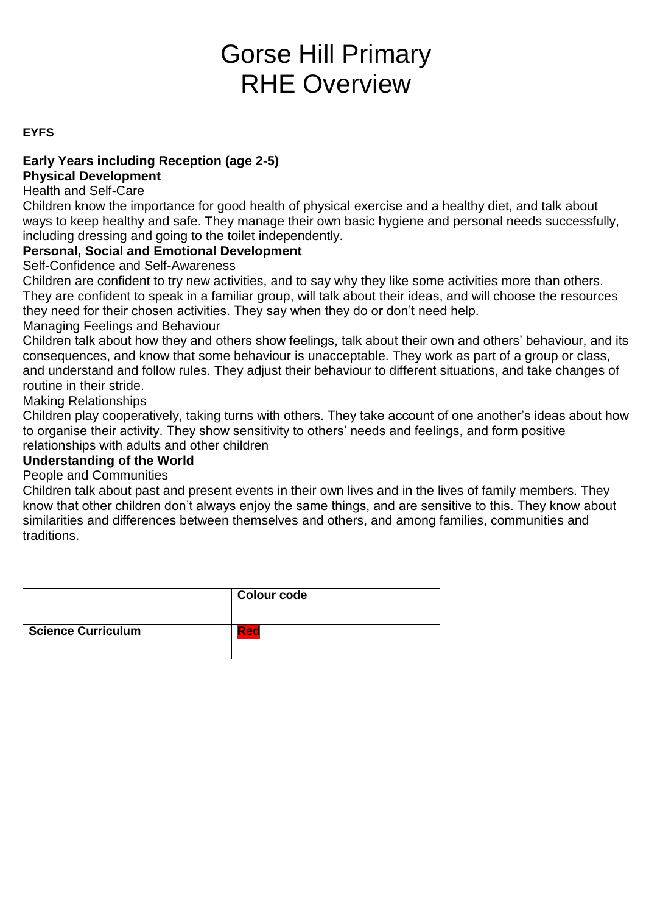# Gorse Hill Primary RHE Overview

# **EYFS**

# **Early Years including Reception (age 2-5)**

# **Physical Development**

#### Health and Self-Care

Children know the importance for good health of physical exercise and a healthy diet, and talk about ways to keep healthy and safe. They manage their own basic hygiene and personal needs successfully, including dressing and going to the toilet independently.

# **Personal, Social and Emotional Development**

Self-Confidence and Self-Awareness

Children are confident to try new activities, and to say why they like some activities more than others. They are confident to speak in a familiar group, will talk about their ideas, and will choose the resources they need for their chosen activities. They say when they do or don't need help.

#### Managing Feelings and Behaviour

Children talk about how they and others show feelings, talk about their own and others' behaviour, and its consequences, and know that some behaviour is unacceptable. They work as part of a group or class, and understand and follow rules. They adjust their behaviour to different situations, and take changes of routine in their stride.

Making Relationships

Children play cooperatively, taking turns with others. They take account of one another's ideas about how to organise their activity. They show sensitivity to others' needs and feelings, and form positive relationships with adults and other children

# **Understanding of the World**

#### People and Communities

Children talk about past and present events in their own lives and in the lives of family members. They know that other children don't always enjoy the same things, and are sensitive to this. They know about similarities and differences between themselves and others, and among families, communities and traditions.

|                           | <b>Colour code</b> |
|---------------------------|--------------------|
| <b>Science Curriculum</b> | Red                |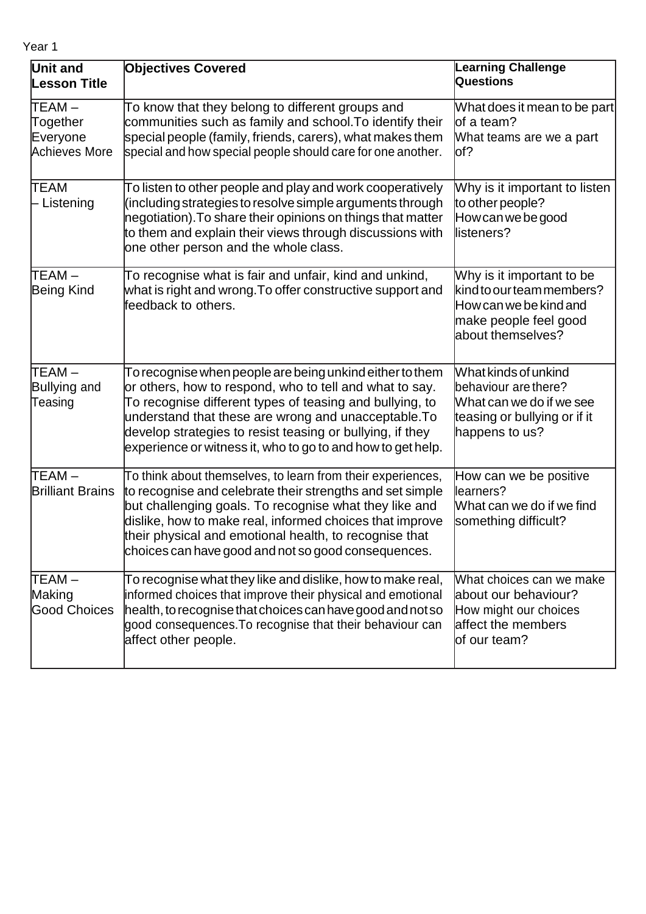| Year |  |
|------|--|
|------|--|

| Unit and<br><b>Lesson Title</b>                 | <b>Objectives Covered</b>                                                                                                                                                                                                                                                                                                                                           | <b>Learning Challenge</b><br>Questions                                                                                         |
|-------------------------------------------------|---------------------------------------------------------------------------------------------------------------------------------------------------------------------------------------------------------------------------------------------------------------------------------------------------------------------------------------------------------------------|--------------------------------------------------------------------------------------------------------------------------------|
| TEAM –<br>Together<br>Everyone<br>Achieves More | To know that they belong to different groups and<br>communities such as family and school. To identify their<br>special people (family, friends, carers), what makes them<br>special and how special people should care for one another.                                                                                                                            | What does it mean to be part <br>lof a team?<br>What teams are we a part<br>lof?                                               |
| <b>TEAM</b><br>- Listening                      | To listen to other people and play and work cooperatively<br>(including strategies to resolve simple arguments through<br>negotiation). To share their opinions on things that matter<br>to them and explain their views through discussions with<br>one other person and the whole class.                                                                          | Why is it important to listen<br>to other people?<br>How can we be good<br>listeners?                                          |
| TEAM-<br>Being Kind                             | To recognise what is fair and unfair, kind and unkind,<br>what is right and wrong. To offer constructive support and<br>feedback to others.                                                                                                                                                                                                                         | Why is it important to be<br>kind to our team members?<br>How can we be kind and<br>make people feel good<br>about themselves? |
| ITEAM –<br>Bullying and<br>Teasing              | To recognise when people are being unkind either to them<br>or others, how to respond, who to tell and what to say.<br>To recognise different types of teasing and bullying, to<br>understand that these are wrong and unacceptable. To<br>develop strategies to resist teasing or bullying, if they<br>experience or witness it, who to go to and how to get help. | What kinds of unkind<br>behaviour are there?<br>What can we do if we see<br>teasing or bullying or if it<br>happens to us?     |
| TEAM –<br><b>Brilliant Brains</b>               | To think about themselves, to learn from their experiences,<br>to recognise and celebrate their strengths and set simple<br>but challenging goals. To recognise what they like and<br>dislike, how to make real, informed choices that improve<br>their physical and emotional health, to recognise that<br>choices can have good and not so good consequences.     | How can we be positive<br>learners?<br>What can we do if we find<br>something difficult?                                       |
| TEAM –<br>Making<br><b>Good Choices</b>         | To recognise what they like and dislike, how to make real,<br>informed choices that improve their physical and emotional<br>health, to recognise that choices can have good and not so<br>good consequences. To recognise that their behaviour can<br>affect other people.                                                                                          | What choices can we make<br>about our behaviour?<br>How might our choices<br>affect the members<br>of our team?                |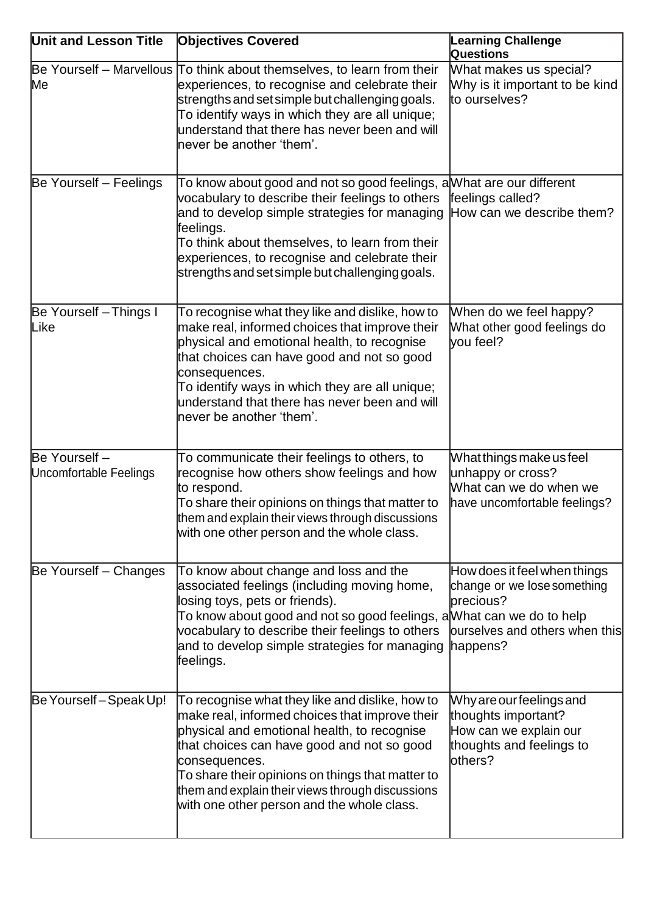| <b>Unit and Lesson Title</b>            | <b>Objectives Covered</b>                                                                                                                                                                                                                                                                                                                                             | <b>Learning Challenge</b><br>Questions                                                                                 |
|-----------------------------------------|-----------------------------------------------------------------------------------------------------------------------------------------------------------------------------------------------------------------------------------------------------------------------------------------------------------------------------------------------------------------------|------------------------------------------------------------------------------------------------------------------------|
| Me                                      | Be Yourself - Marvellous To think about themselves, to learn from their<br>experiences, to recognise and celebrate their<br>strengths and set simple but challenging goals.<br>To identify ways in which they are all unique;<br>understand that there has never been and will<br>never be another 'them'.                                                            | What makes us special?<br>Why is it important to be kind<br>to ourselves?                                              |
| Be Yourself - Feelings                  | To know about good and not so good feelings, a What are our different<br>vocabulary to describe their feelings to others<br>and to develop simple strategies for managing<br>feelings.<br>To think about themselves, to learn from their<br>experiences, to recognise and celebrate their<br>strengths and set simple but challenging goals.                          | feelings called?<br>How can we describe them?                                                                          |
| Be Yourself - Things I<br>Like          | To recognise what they like and dislike, how to<br>make real, informed choices that improve their<br>physical and emotional health, to recognise<br>that choices can have good and not so good<br>consequences.<br>To identify ways in which they are all unique;<br>understand that there has never been and will<br>never be another 'them'.                        | When do we feel happy?<br>What other good feelings do<br>vou feel?                                                     |
| Be Yourself -<br>Uncomfortable Feelings | To communicate their feelings to others, to<br>recognise how others show feelings and how<br>to respond.<br>To share their opinions on things that matter to<br>them and explain their views through discussions<br>with one other person and the whole class.                                                                                                        | What things make us feel<br>unhappy or cross?<br>What can we do when we<br>have uncomfortable feelings?                |
| Be Yourself – Changes                   | To know about change and loss and the<br>associated feelings (including moving home,<br>losing toys, pets or friends).<br>To know about good and not so good feelings, a What can we do to help<br>vocabulary to describe their feelings to others<br>and to develop simple strategies for managing<br>feelings.                                                      | How does it feel when things<br>change or we lose something<br>precious?<br>ourselves and others when this<br>happens? |
| Be Yourself - Speak Up!                 | To recognise what they like and dislike, how to<br>make real, informed choices that improve their<br>physical and emotional health, to recognise<br>that choices can have good and not so good<br>consequences.<br>To share their opinions on things that matter to<br>them and explain their views through discussions<br>with one other person and the whole class. | Why are our feelings and<br>thoughts important?<br>How can we explain our<br>thoughts and feelings to<br>others?       |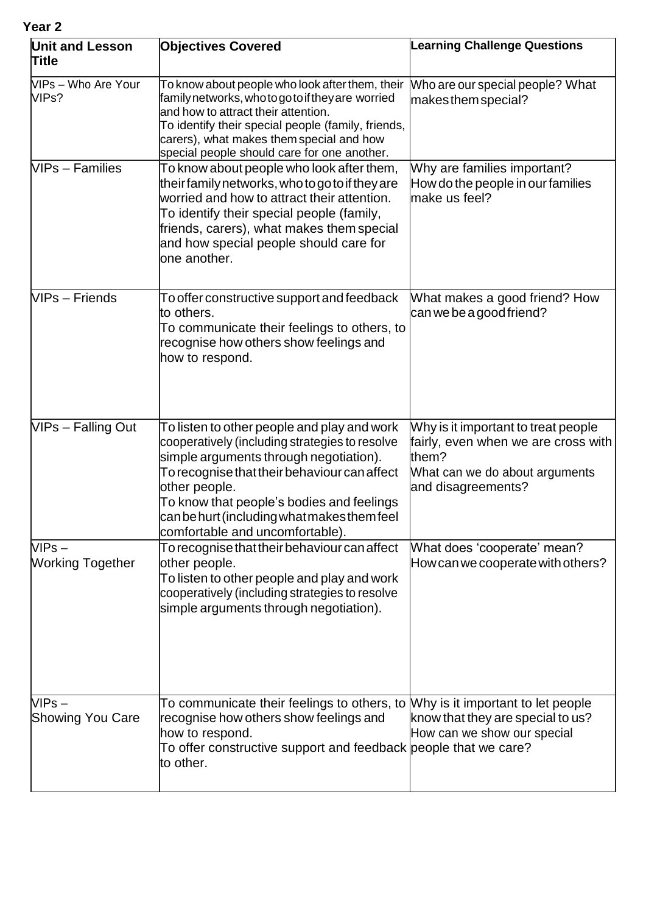| Year <sub>2</sub>                   |                                                                                                                                                                                                                                                                                                                                         |                                                                                                                                             |
|-------------------------------------|-----------------------------------------------------------------------------------------------------------------------------------------------------------------------------------------------------------------------------------------------------------------------------------------------------------------------------------------|---------------------------------------------------------------------------------------------------------------------------------------------|
| <b>Unit and Lesson</b><br>Title     | <b>Objectives Covered</b>                                                                                                                                                                                                                                                                                                               | <b>Learning Challenge Questions</b>                                                                                                         |
| VIPs – Who Are Your<br>VIPs?        | To know about people who look after them, their<br>familynetworks, who to go to if they are worried<br>and how to attract their attention.<br>To identify their special people (family, friends,<br>carers), what makes them special and how<br>special people should care for one another.                                             | Who are our special people? What<br>makes them special?                                                                                     |
| <b>VIPs - Families</b>              | To know about people who look after them,<br>theirfamily networks, who to go to if they are<br>worried and how to attract their attention.<br>To identify their special people (family,<br>friends, carers), what makes them special<br>and how special people should care for<br>one another.                                          | Why are families important?<br>How do the people in our families<br>make us feel?                                                           |
| VIPs - Friends                      | To offer constructive support and feedback<br>to others.<br>To communicate their feelings to others, to<br>recognise how others show feelings and<br>how to respond.                                                                                                                                                                    | What makes a good friend? How<br>can we be a good friend?                                                                                   |
| VIPs - Falling Out                  | To listen to other people and play and work<br>cooperatively (including strategies to resolve<br>simple arguments through negotiation).<br>To recognise that their behaviour can affect<br>other people.<br>To know that people's bodies and feelings<br>can be hurt (including what makes them feel<br>comfortable and uncomfortable). | Why is it important to treat people<br>fairly, even when we are cross with<br>them?<br>What can we do about arguments<br>and disagreements? |
| $VIPS -$<br><b>Working Together</b> | To recognise that their behaviour can affect<br>other people.<br>To listen to other people and play and work<br>cooperatively (including strategies to resolve<br>simple arguments through negotiation).                                                                                                                                | What does 'cooperate' mean?<br>How can we cooperate with others?                                                                            |
| $VIPS -$<br><b>Showing You Care</b> | To communicate their feelings to others, to Mhy is it important to let people<br>recognise how others show feelings and<br>how to respond.<br>To offer constructive support and feedback people that we care?<br>to other.                                                                                                              | know that they are special to us?<br>How can we show our special                                                                            |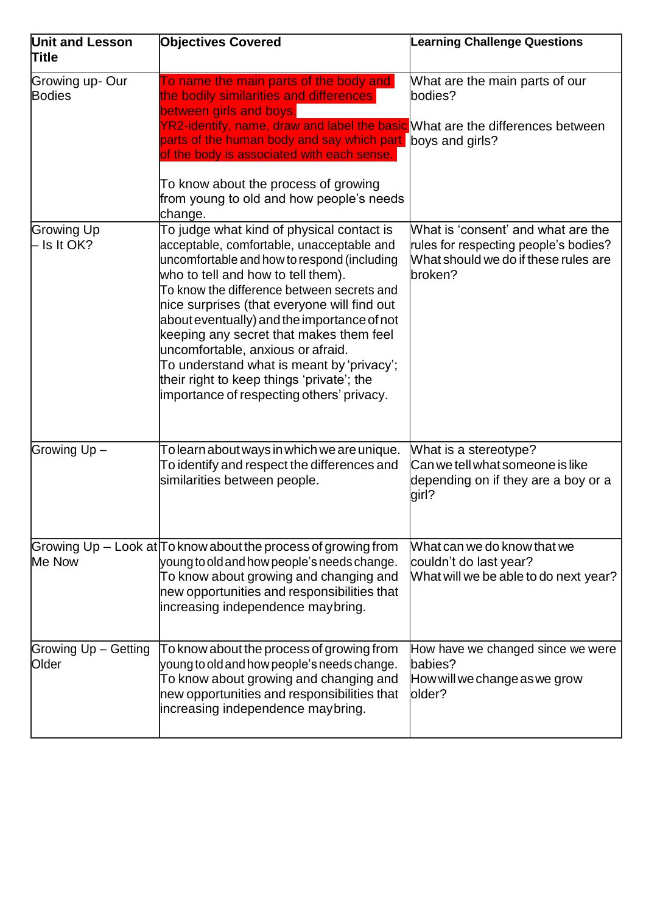| <b>Unit and Lesson</b><br><b>Title</b> | <b>Objectives Covered</b>                                                                                                                                                                                                                                                                                                                                                                                                                                                                                                                      | <b>Learning Challenge Questions</b>                                                                                            |
|----------------------------------------|------------------------------------------------------------------------------------------------------------------------------------------------------------------------------------------------------------------------------------------------------------------------------------------------------------------------------------------------------------------------------------------------------------------------------------------------------------------------------------------------------------------------------------------------|--------------------------------------------------------------------------------------------------------------------------------|
| Growing up- Our<br><b>Bodies</b>       | To name the main parts of the body and<br>the bodily similarities and differences<br>between girls and boys.<br>YR2-identify, name, draw and label the basic What are the differences between<br>parts of the human body and say which part boys and girls?<br>of the body is associated with each sense.<br>To know about the process of growing<br>from young to old and how people's needs<br>change.                                                                                                                                       | What are the main parts of our<br>bodies?                                                                                      |
| Growing Up<br>- Is It OK?              | To judge what kind of physical contact is<br>acceptable, comfortable, unacceptable and<br>uncomfortable and how to respond (including<br>who to tell and how to tell them).<br>To know the difference between secrets and<br>nice surprises (that everyone will find out<br>about eventually) and the importance of not<br>keeping any secret that makes them feel<br>uncomfortable, anxious or afraid.<br>To understand what is meant by 'privacy';<br>their right to keep things 'private'; the<br>importance of respecting others' privacy. | What is 'consent' and what are the<br>rules for respecting people's bodies?<br>What should we do if these rules are<br>broken? |
| Growing Up-                            | To learn about ways in which we are unique.<br>To identify and respect the differences and<br>similarities between people.                                                                                                                                                                                                                                                                                                                                                                                                                     | What is a stereotype?<br>Can we tell what someone is like<br>depending on if they are a boy or a<br>girl?                      |
| Me Now                                 | Growing Up $-$ Look at To know about the process of growing from<br>young to old and how people's needs change.<br>To know about growing and changing and<br>new opportunities and responsibilities that<br>increasing independence maybring.                                                                                                                                                                                                                                                                                                  | What can we do know that we<br>couldn't do last year?<br>What will we be able to do next year?                                 |
| Growing Up - Getting<br>Older          | To know about the process of growing from<br>young to old and how people's needs change.<br>To know about growing and changing and<br>new opportunities and responsibilities that<br>increasing independence maybring.                                                                                                                                                                                                                                                                                                                         | How have we changed since we were<br>lbabies?<br>How will we change as we grow<br>older?                                       |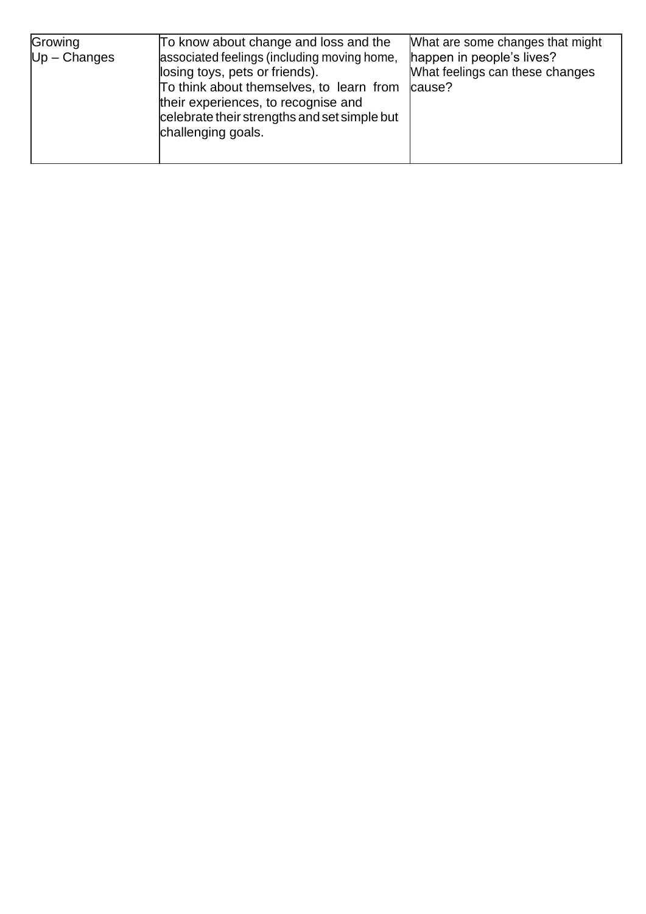| Growing<br>$Up - Changes$ | To know about change and loss and the<br>associated feelings (including moving home,<br>losing toys, pets or friends).<br>To think about themselves, to learn from<br>their experiences, to recognise and<br>celebrate their strengths and set simple but<br>challenging goals. | What are some changes that might<br>happen in people's lives?<br>What feelings can these changes<br>cause? |
|---------------------------|---------------------------------------------------------------------------------------------------------------------------------------------------------------------------------------------------------------------------------------------------------------------------------|------------------------------------------------------------------------------------------------------------|
|---------------------------|---------------------------------------------------------------------------------------------------------------------------------------------------------------------------------------------------------------------------------------------------------------------------------|------------------------------------------------------------------------------------------------------------|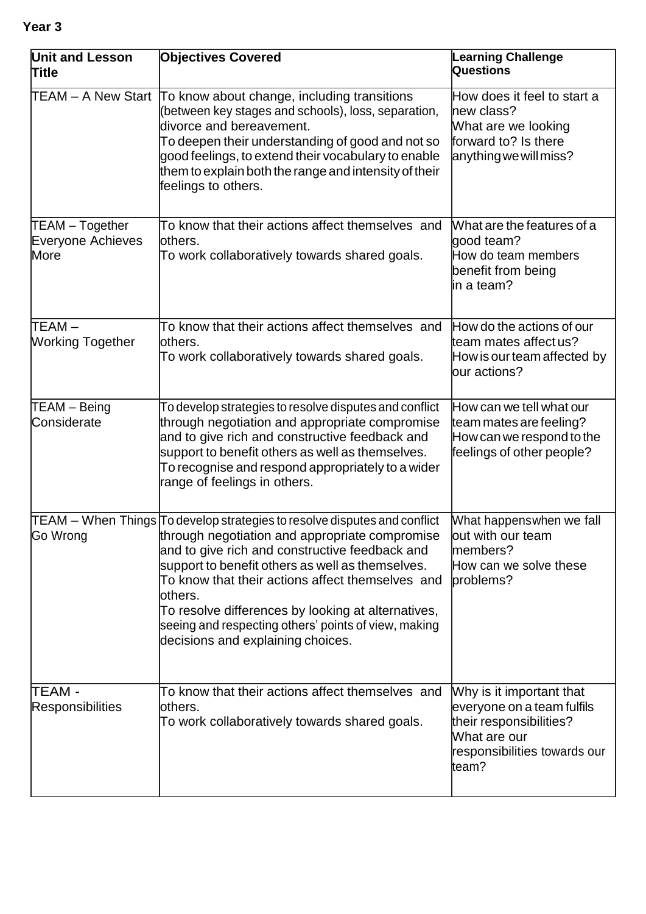| ۰.<br>× | ۰, |
|---------|----|
|---------|----|

| <b>Unit and Lesson</b><br><b>Title</b>       | <b>Objectives Covered</b>                                                                                                                                                                                                                                                                                                                                                                                                                                                                  | Learning Challenge<br>Questions                                                                                                            |  |
|----------------------------------------------|--------------------------------------------------------------------------------------------------------------------------------------------------------------------------------------------------------------------------------------------------------------------------------------------------------------------------------------------------------------------------------------------------------------------------------------------------------------------------------------------|--------------------------------------------------------------------------------------------------------------------------------------------|--|
| TEAM - A New Start                           | To know about change, including transitions<br>(between key stages and schools), loss, separation,<br>divorce and bereavement.<br>To deepen their understanding of good and not so<br>good feelings, to extend their vocabulary to enable<br>them to explain both the range and intensity of their<br>feelings to others.                                                                                                                                                                  | How does it feel to start a<br>new class?<br>What are we looking<br>forward to? Is there<br>anything we will miss?                         |  |
| TEAM - Together<br>Everyone Achieves<br>More | To know that their actions affect themselves and<br>others.<br>To work collaboratively towards shared goals.                                                                                                                                                                                                                                                                                                                                                                               | What are the features of a<br>good team?<br>How do team members<br>benefit from being<br>lin a team?                                       |  |
| lTEAM –<br>Working Together                  | To know that their actions affect themselves and<br>lothers.<br>To work collaboratively towards shared goals.                                                                                                                                                                                                                                                                                                                                                                              | How do the actions of our<br>team mates affect us?<br>How is our team affected by<br>our actions?                                          |  |
| TEAM - Being<br>Considerate                  | To develop strategies to resolve disputes and conflict<br>through negotiation and appropriate compromise<br>and to give rich and constructive feedback and<br>support to benefit others as well as themselves.<br>To recognise and respond appropriately to a wider<br>range of feelings in others.                                                                                                                                                                                        | How can we tell what our<br>team mates are feeling?<br>How can we respond to the<br>feelings of other people?                              |  |
| Go Wrong                                     | $\mathsf{TEAM}-\mathsf{When}\ \mathsf{Things}\ \mathsf{To}\$ develop strategies to resolve disputes and conflict<br>through negotiation and appropriate compromise<br>and to give rich and constructive feedback and<br>support to benefit others as well as themselves.<br>To know that their actions affect themselves and<br>others.<br>To resolve differences by looking at alternatives,<br>seeing and respecting others' points of view, making<br>decisions and explaining choices. | What happenswhen we fall<br>out with our team<br>members?<br>How can we solve these<br>problems?                                           |  |
| TEAM -<br><b>Responsibilities</b>            | To know that their actions affect themselves and<br>others.<br>To work collaboratively towards shared goals.                                                                                                                                                                                                                                                                                                                                                                               | Why is it important that<br>everyone on a team fulfils<br>their responsibilities?<br>What are our<br>responsibilities towards our<br>team? |  |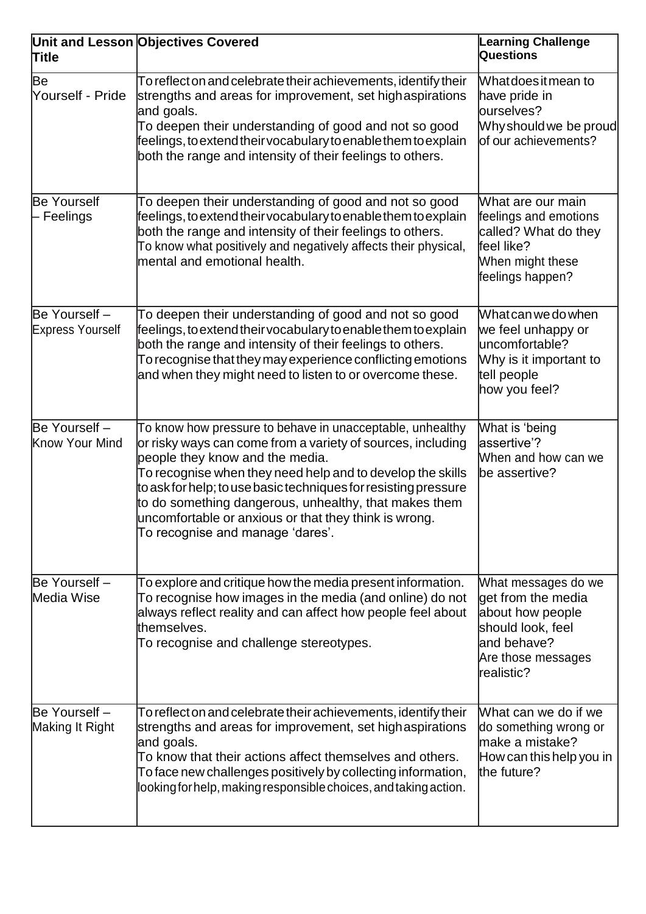| <b>Title</b>                             | Unit and Lesson Objectives Covered                                                                                                                                                                                                                                                                                                                                                                                                                 | <b>Learning Challenge</b><br>Questions                                                                                                 |
|------------------------------------------|----------------------------------------------------------------------------------------------------------------------------------------------------------------------------------------------------------------------------------------------------------------------------------------------------------------------------------------------------------------------------------------------------------------------------------------------------|----------------------------------------------------------------------------------------------------------------------------------------|
| Be<br>Yourself - Pride                   | To reflect on and celebrate their achievements, identify their<br>strengths and areas for improvement, set high aspirations<br>and goals.<br>To deepen their understanding of good and not so good<br>feelings, to extend their vocabulary to enable them to explain<br>both the range and intensity of their feelings to others.                                                                                                                  | What does it mean to<br>have pride in<br>ourselves?<br>Why should we be proud<br>of our achievements?                                  |
| <b>Be Yourself</b><br>- Feelings         | To deepen their understanding of good and not so good<br>feelings, to extend their vocabulary to enable them to explain<br>both the range and intensity of their feelings to others.<br>To know what positively and negatively affects their physical,<br>mental and emotional health.                                                                                                                                                             | What are our main<br>feelings and emotions<br>called? What do they<br>feel like?<br>When might these<br>feelings happen?               |
| Be Yourself -<br><b>Express Yourself</b> | To deepen their understanding of good and not so good<br>feelings, to extend their vocabulary to enable them to explain<br>both the range and intensity of their feelings to others.<br>To recognise that they may experience conflicting emotions<br>and when they might need to listen to or overcome these.                                                                                                                                     | What can we do when<br>we feel unhappy or<br>uncomfortable?<br>Why is it important to<br>tell people<br>how you feel?                  |
| Be Yourself -<br>Know Your Mind          | To know how pressure to behave in unacceptable, unhealthy<br>or risky ways can come from a variety of sources, including<br>people they know and the media.<br>To recognise when they need help and to develop the skills<br>to ask for help; to use basic techniques for resisting pressure<br>to do something dangerous, unhealthy, that makes them<br>uncomfortable or anxious or that they think is wrong.<br>To recognise and manage 'dares'. | What is 'being<br>assertive'?<br>When and how can we<br>be assertive?                                                                  |
| Be Yourself -<br>Media Wise              | To explore and critique how the media present information.<br>To recognise how images in the media (and online) do not<br>always reflect reality and can affect how people feel about<br>themselves.<br>To recognise and challenge stereotypes.                                                                                                                                                                                                    | What messages do we<br>get from the media<br>about how people<br>should look, feel<br>land behave?<br>Are those messages<br>realistic? |
| Be Yourself -<br>Making It Right         | To reflect on and celebrate their achievements, identify their<br>strengths and areas for improvement, set high aspirations<br>and goals.<br>To know that their actions affect themselves and others.<br>To face new challenges positively by collecting information,<br>looking for help, making responsible choices, and taking action.                                                                                                          | What can we do if we<br>do something wrong or<br>lmake a mistake?<br>How can this help you in<br>the future?                           |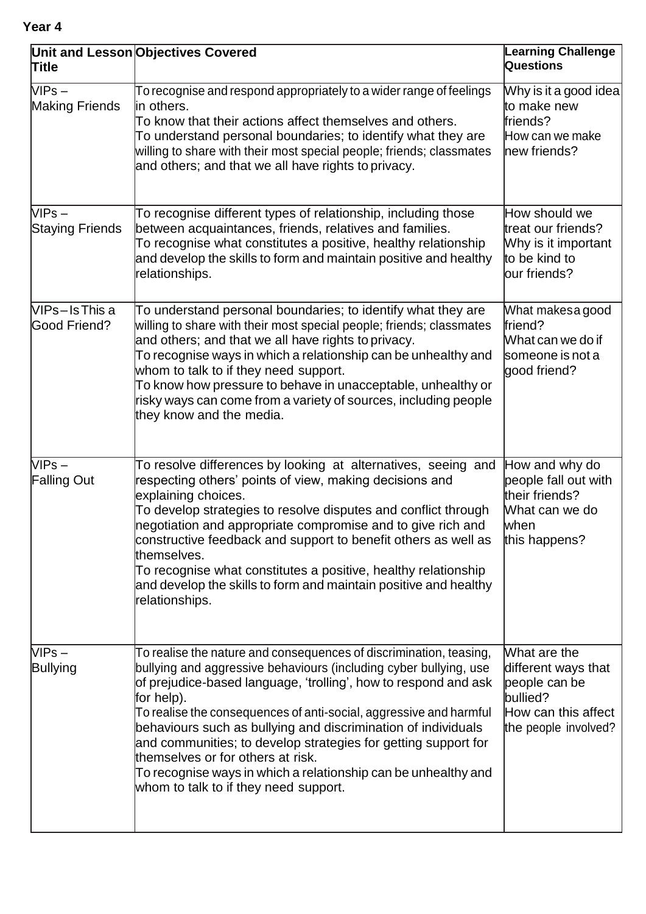| <b>Title</b>                         | Unit and Lesson Objectives Covered                                                                                                                                                                                                                                                                                                                                                                                                                                                                                                                                                | <b>Learning Challenge</b><br><b>Questions</b>                                                                   |
|--------------------------------------|-----------------------------------------------------------------------------------------------------------------------------------------------------------------------------------------------------------------------------------------------------------------------------------------------------------------------------------------------------------------------------------------------------------------------------------------------------------------------------------------------------------------------------------------------------------------------------------|-----------------------------------------------------------------------------------------------------------------|
| $VIPS -$<br><b>Making Friends</b>    | To recognise and respond appropriately to a wider range of feelings<br>lin others.<br>To know that their actions affect themselves and others.<br>To understand personal boundaries; to identify what they are<br>willing to share with their most special people; friends; classmates<br>and others; and that we all have rights to privacy.                                                                                                                                                                                                                                     | Why is it a good idea<br>to make new<br>friends?<br>How can we make<br>new friends?                             |
| $VIPS -$<br><b>Staying Friends</b>   | To recognise different types of relationship, including those<br>between acquaintances, friends, relatives and families.<br>To recognise what constitutes a positive, healthy relationship<br>and develop the skills to form and maintain positive and healthy<br>relationships.                                                                                                                                                                                                                                                                                                  | How should we<br>treat our friends?<br>Why is it important<br>to be kind to<br>our friends?                     |
| VIPs-IsThis a<br><b>Good Friend?</b> | To understand personal boundaries; to identify what they are<br>willing to share with their most special people; friends; classmates<br>and others; and that we all have rights to privacy.<br>To recognise ways in which a relationship can be unhealthy and<br>whom to talk to if they need support.<br>To know how pressure to behave in unacceptable, unhealthy or<br>risky ways can come from a variety of sources, including people<br>they know and the media.                                                                                                             | What makesa good<br>lfriend?<br>What can we do if<br>someone is not a<br>good friend?                           |
| $VIPS -$<br><b>Falling Out</b>       | To resolve differences by looking at alternatives, seeing and<br>respecting others' points of view, making decisions and<br>explaining choices.<br>To develop strategies to resolve disputes and conflict through<br>negotiation and appropriate compromise and to give rich and<br>constructive feedback and support to benefit others as well as<br>themselves.<br>To recognise what constitutes a positive, healthy relationship<br>and develop the skills to form and maintain positive and healthy<br>relationships.                                                         | How and why do<br>people fall out with<br>their friends?<br>What can we do<br>when<br>this happens?             |
| VIPs –<br><b>Bullying</b>            | To realise the nature and consequences of discrimination, teasing,<br>bullying and aggressive behaviours (including cyber bullying, use<br>of prejudice-based language, 'trolling', how to respond and ask<br>for help).<br>To realise the consequences of anti-social, aggressive and harmful<br>behaviours such as bullying and discrimination of individuals<br>and communities; to develop strategies for getting support for<br>themselves or for others at risk.<br>To recognise ways in which a relationship can be unhealthy and<br>whom to talk to if they need support. | What are the<br>different ways that<br>people can be<br>bullied?<br>How can this affect<br>the people involved? |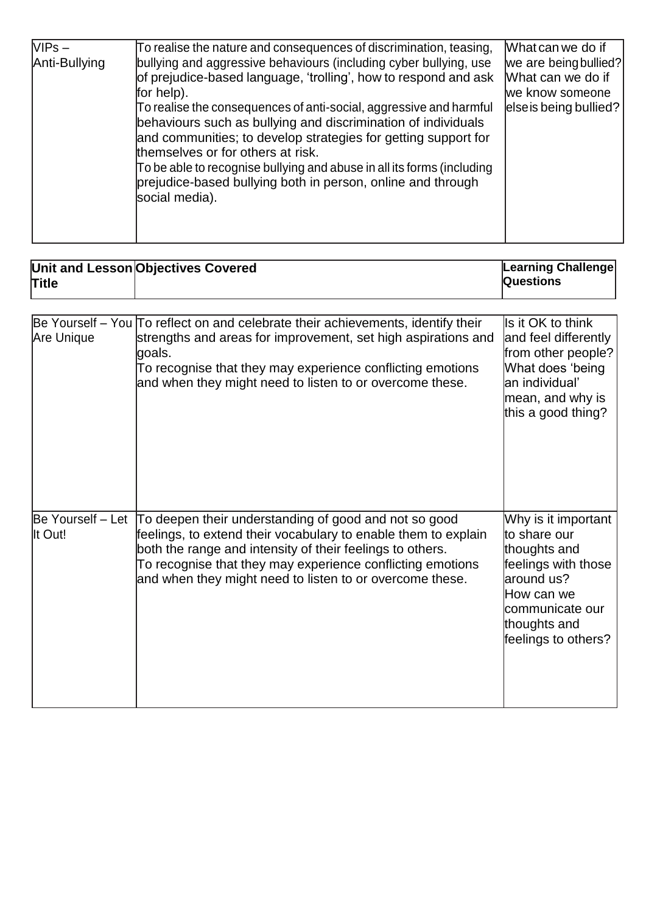| $VIPS -$<br>Anti-Bullying | To realise the nature and consequences of discrimination, teasing,<br>bullying and aggressive behaviours (including cyber bullying, use<br>of prejudice-based language, 'trolling', how to respond and ask<br>for help).<br>To realise the consequences of anti-social, aggressive and harmful<br>behaviours such as bullying and discrimination of individuals<br>and communities; to develop strategies for getting support for<br>themselves or for others at risk.<br>To be able to recognise bullying and abuse in all its forms (including<br>prejudice-based bullying both in person, online and through<br>social media). | What can we do if<br>we are being bullied?<br>What can we do if<br>we know someone<br>else is being bullied? |
|---------------------------|-----------------------------------------------------------------------------------------------------------------------------------------------------------------------------------------------------------------------------------------------------------------------------------------------------------------------------------------------------------------------------------------------------------------------------------------------------------------------------------------------------------------------------------------------------------------------------------------------------------------------------------|--------------------------------------------------------------------------------------------------------------|
|---------------------------|-----------------------------------------------------------------------------------------------------------------------------------------------------------------------------------------------------------------------------------------------------------------------------------------------------------------------------------------------------------------------------------------------------------------------------------------------------------------------------------------------------------------------------------------------------------------------------------------------------------------------------------|--------------------------------------------------------------------------------------------------------------|

| <b>Title</b>                 | Unit and Lesson Objectives Covered                                                                                                                                                                                                                                                                             | Learning Challenge<br>Questions                                                                                                                                    |
|------------------------------|----------------------------------------------------------------------------------------------------------------------------------------------------------------------------------------------------------------------------------------------------------------------------------------------------------------|--------------------------------------------------------------------------------------------------------------------------------------------------------------------|
|                              |                                                                                                                                                                                                                                                                                                                |                                                                                                                                                                    |
| Are Unique                   | Be Yourself – You To reflect on and celebrate their achievements, identify their<br>strengths and areas for improvement, set high aspirations and<br>goals.<br>To recognise that they may experience conflicting emotions<br>and when they might need to listen to or overcome these.                          | Is it OK to think<br>and feel differently<br>from other people?<br>What does 'being<br>lan individual'<br>mean, and why is<br>this a good thing?                   |
| Be Yourself - Let<br>It Out! | To deepen their understanding of good and not so good<br>feelings, to extend their vocabulary to enable them to explain<br>both the range and intensity of their feelings to others.<br>To recognise that they may experience conflicting emotions<br>and when they might need to listen to or overcome these. | Why is it important<br>lto share our<br>thoughts and<br>feelings with those<br>laround us?<br>How can we<br>communicate our<br>thoughts and<br>feelings to others? |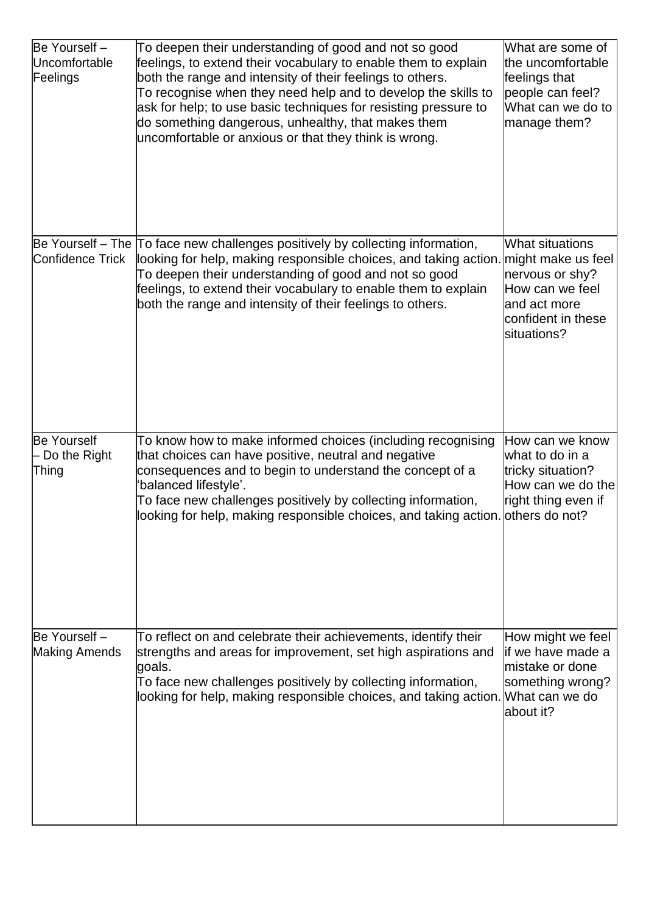| Be Yourself -<br>Uncomfortable<br>Feelings  | To deepen their understanding of good and not so good<br>feelings, to extend their vocabulary to enable them to explain<br>both the range and intensity of their feelings to others.<br>To recognise when they need help and to develop the skills to<br>ask for help; to use basic techniques for resisting pressure to<br>do something dangerous, unhealthy, that makes them<br>uncomfortable or anxious or that they think is wrong. | What are some of<br>the uncomfortable<br>feelings that<br>people can feel?<br>What can we do to<br>manage them?       |
|---------------------------------------------|-----------------------------------------------------------------------------------------------------------------------------------------------------------------------------------------------------------------------------------------------------------------------------------------------------------------------------------------------------------------------------------------------------------------------------------------|-----------------------------------------------------------------------------------------------------------------------|
| Confidence Trick                            | Be Yourself - The To face new challenges positively by collecting information,<br>looking for help, making responsible choices, and taking action. might make us feel<br>To deepen their understanding of good and not so good<br>feelings, to extend their vocabulary to enable them to explain<br>both the range and intensity of their feelings to others.                                                                           | What situations<br>nervous or shy?<br>How can we feel<br>and act more<br>confident in these<br>lsituations?           |
| <b>Be Yourself</b><br>Do the Right<br>Thing | To know how to make informed choices (including recognising<br>that choices can have positive, neutral and negative<br>consequences and to begin to understand the concept of a<br>'balanced lifestyle'.<br>To face new challenges positively by collecting information,<br>looking for help, making responsible choices, and taking action.                                                                                            | How can we know<br>what to do in a<br>tricky situation?<br>How can we do the<br>right thing even if<br>others do not? |
| Be Yourself -<br><b>Making Amends</b>       | To reflect on and celebrate their achievements, identify their<br>strengths and areas for improvement, set high aspirations and<br>goals.<br>To face new challenges positively by collecting information,<br>looking for help, making responsible choices, and taking action. What can we do                                                                                                                                            | How might we feel<br>lif we have made a<br>lmistake or done<br>something wrong?<br>about it?                          |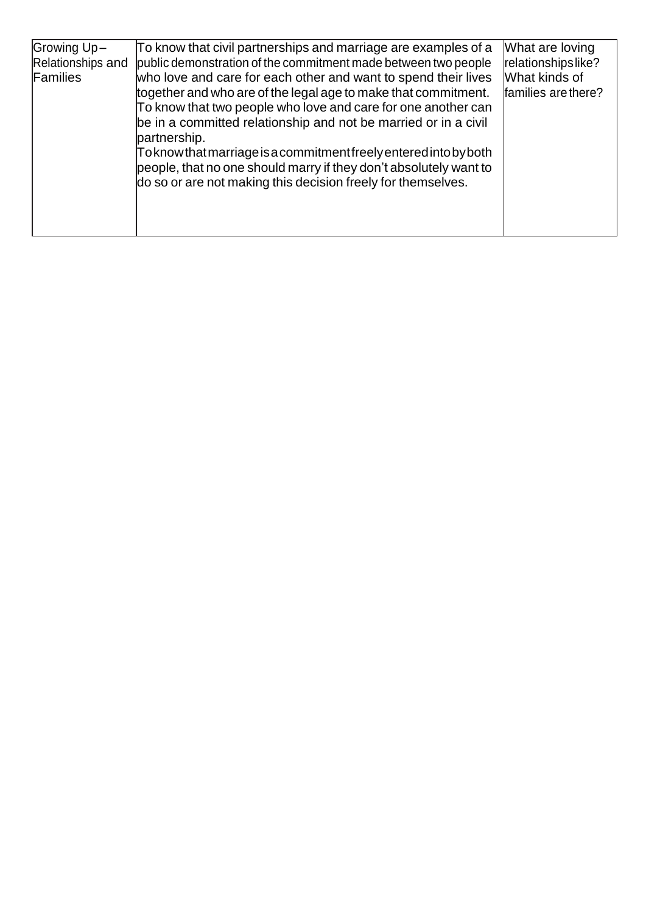| Growing Up-<br>Relationships and<br>Families | To know that civil partnerships and marriage are examples of a<br>public demonstration of the commitment made between two people<br>who love and care for each other and want to spend their lives<br>together and who are of the legal age to make that commitment.<br>To know that two people who love and care for one another can<br>be in a committed relationship and not be married or in a civil<br>partnership.<br>Toknowthatmarriage is a commitment freely entered into by both<br>people, that no one should marry if they don't absolutely want to<br>do so or are not making this decision freely for themselves. | What are loving<br>relationshipslike?<br>What kinds of<br>families are there? |
|----------------------------------------------|---------------------------------------------------------------------------------------------------------------------------------------------------------------------------------------------------------------------------------------------------------------------------------------------------------------------------------------------------------------------------------------------------------------------------------------------------------------------------------------------------------------------------------------------------------------------------------------------------------------------------------|-------------------------------------------------------------------------------|
|----------------------------------------------|---------------------------------------------------------------------------------------------------------------------------------------------------------------------------------------------------------------------------------------------------------------------------------------------------------------------------------------------------------------------------------------------------------------------------------------------------------------------------------------------------------------------------------------------------------------------------------------------------------------------------------|-------------------------------------------------------------------------------|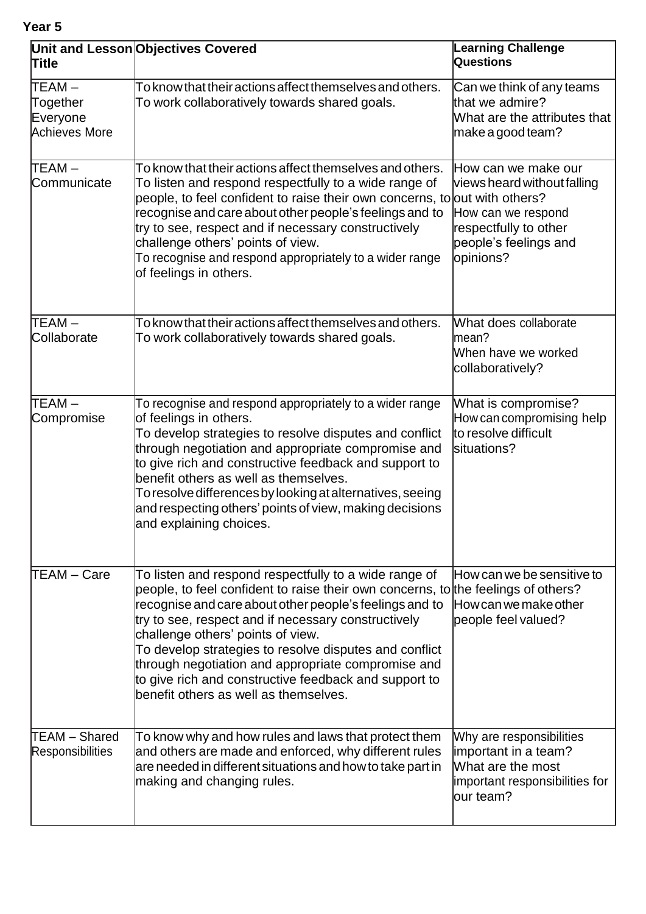**Year 5**

| <b>Title</b>                                    | Unit and Lesson Objectives Covered                                                                                                                                                                                                                                                                                                                                                                                                                                                                                  | <b>Learning Challenge</b><br>Questions                                                                                                  |
|-------------------------------------------------|---------------------------------------------------------------------------------------------------------------------------------------------------------------------------------------------------------------------------------------------------------------------------------------------------------------------------------------------------------------------------------------------------------------------------------------------------------------------------------------------------------------------|-----------------------------------------------------------------------------------------------------------------------------------------|
| TEAM –<br>Together<br>Everyone<br>Achieves More | To know that their actions affect themselves and others.<br>To work collaboratively towards shared goals.                                                                                                                                                                                                                                                                                                                                                                                                           | Can we think of any teams<br>that we admire?<br>What are the attributes that<br> make a good team?                                      |
| TEAM –<br>Communicate                           | To know that their actions affect themselves and others.<br>To listen and respond respectfully to a wide range of<br>people, to feel confident to raise their own concerns, to out with others?<br>recognise and care about other people's feelings and to<br>try to see, respect and if necessary constructively<br>challenge others' points of view.<br>To recognise and respond appropriately to a wider range<br>of feelings in others.                                                                         | How can we make our<br>views heard without falling<br>How can we respond<br>respectfully to other<br>people's feelings and<br>opinions? |
| TEAM –<br>Collaborate                           | To know that their actions affect themselves and others.<br>To work collaboratively towards shared goals.                                                                                                                                                                                                                                                                                                                                                                                                           | What does collaborate<br>lmean?<br>When have we worked<br>collaboratively?                                                              |
| TEAM-<br>Compromise                             | To recognise and respond appropriately to a wider range<br>of feelings in others.<br>To develop strategies to resolve disputes and conflict<br>through negotiation and appropriate compromise and<br>to give rich and constructive feedback and support to<br>benefit others as well as themselves.<br>To resolve differences by looking at alternatives, seeing<br>and respecting others' points of view, making decisions<br>and explaining choices.                                                              | What is compromise?<br>How can compromising help<br>to resolve difficult<br>situations?                                                 |
| <b>TEAM – Care</b>                              | To listen and respond respectfully to a wide range of<br>people, to feel confident to raise their own concerns, to the feelings of others?<br>recognise and care about other people's feelings and to<br>try to see, respect and if necessary constructively<br>challenge others' points of view.<br>To develop strategies to resolve disputes and conflict<br>through negotiation and appropriate compromise and<br>to give rich and constructive feedback and support to<br>benefit others as well as themselves. | How can we be sensitive to<br>How can we make other<br>people feel valued?                                                              |
| TEAM - Shared<br><b>Responsibilities</b>        | To know why and how rules and laws that protect them<br>and others are made and enforced, why different rules<br>are needed in different situations and how to take part in<br>making and changing rules.                                                                                                                                                                                                                                                                                                           | Why are responsibilities<br>important in a team?<br>What are the most<br>important responsibilities for<br>lour team?                   |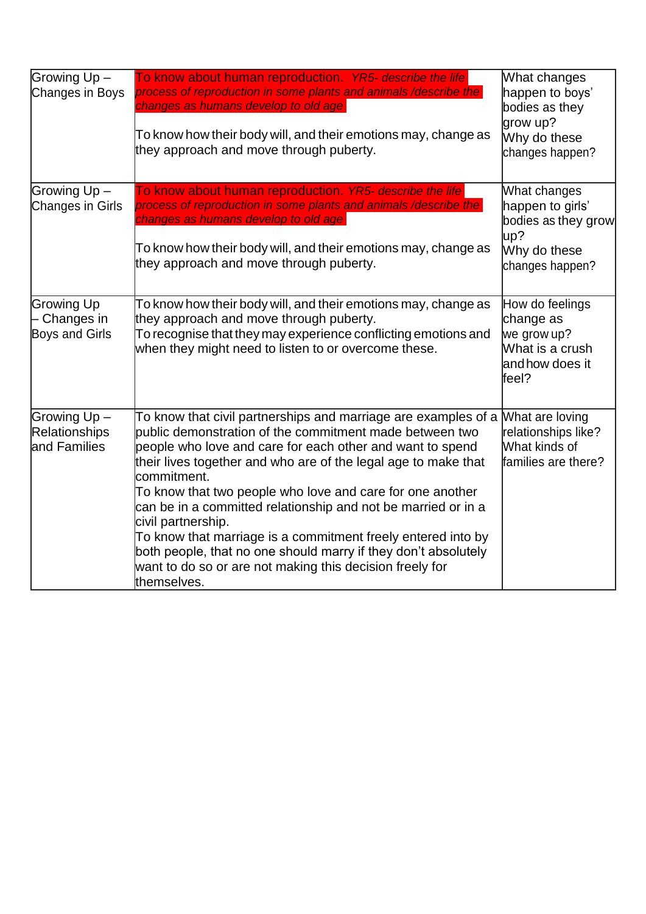| Growing Up-<br>Changes in Boys                      | To know about human reproduction. YR5- describe the life<br>process of reproduction in some plants and animals /describe the<br>changes as humans develop to old age<br>To know how their body will, and their emotions may, change as<br>they approach and move through puberty.                                                                                                                                                                                                                                                                                                                                                         | What changes<br>happen to boys'<br>bodies as they<br>grow up?<br>Why do these<br>changes happen?  |
|-----------------------------------------------------|-------------------------------------------------------------------------------------------------------------------------------------------------------------------------------------------------------------------------------------------------------------------------------------------------------------------------------------------------------------------------------------------------------------------------------------------------------------------------------------------------------------------------------------------------------------------------------------------------------------------------------------------|---------------------------------------------------------------------------------------------------|
| Growing Up-<br><b>Changes in Girls</b>              | To know about human reproduction. YR5- describe the life<br>process of reproduction in some plants and animals /describe the<br>changes as humans develop to old age<br>To know how their body will, and their emotions may, change as<br>they approach and move through puberty.                                                                                                                                                                                                                                                                                                                                                         | What changes<br>happen to girls'<br>bodies as they grow<br>up?<br>Why do these<br>changes happen? |
| <b>Growing Up</b><br>Changes in<br>Boys and Girls   | To know how their body will, and their emotions may, change as<br>they approach and move through puberty.<br>To recognise that they may experience conflicting emotions and<br>when they might need to listen to or overcome these.                                                                                                                                                                                                                                                                                                                                                                                                       | How do feelings<br>change as<br>we grow up?<br>What is a crush<br>and how does it<br>feel?        |
| Growing Up-<br><b>Relationships</b><br>and Families | To know that civil partnerships and marriage are examples of a<br>public demonstration of the commitment made between two<br>people who love and care for each other and want to spend<br>their lives together and who are of the legal age to make that<br>lcommitment.<br>To know that two people who love and care for one another<br>can be in a committed relationship and not be married or in a<br>civil partnership.<br>To know that marriage is a commitment freely entered into by<br>both people, that no one should marry if they don't absolutely<br>want to do so or are not making this decision freely for<br>themselves. | What are loving<br>relationships like?<br>What kinds of<br>families are there?                    |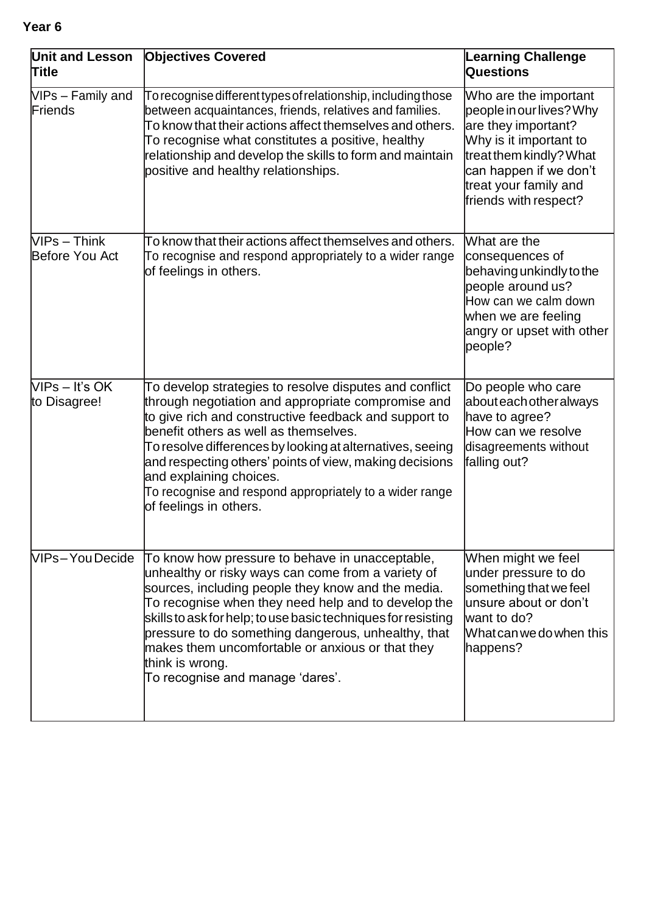| Unit and Lesson<br>Title         | <b>Objectives Covered</b>                                                                                                                                                                                                                                                                                                                                                                                                                              | <b>Learning Challenge</b><br>Questions                                                                                                                                                                    |
|----------------------------------|--------------------------------------------------------------------------------------------------------------------------------------------------------------------------------------------------------------------------------------------------------------------------------------------------------------------------------------------------------------------------------------------------------------------------------------------------------|-----------------------------------------------------------------------------------------------------------------------------------------------------------------------------------------------------------|
| VIPs - Family and<br>Friends     | To recognise different types of relationship, including those<br>between acquaintances, friends, relatives and families.<br>To know that their actions affect themselves and others.<br>To recognise what constitutes a positive, healthy<br>relationship and develop the skills to form and maintain<br>positive and healthy relationships.                                                                                                           | Who are the important<br>people in our lives? Why<br>are they important?<br>Why is it important to<br>treat them kindly? What<br>can happen if we don't<br>treat your family and<br>friends with respect? |
| $VIPS - Think$<br>Before You Act | To know that their actions affect themselves and others.<br>To recognise and respond appropriately to a wider range<br>of feelings in others.                                                                                                                                                                                                                                                                                                          | What are the<br>consequences of<br>behaving unkindly to the<br>people around us?<br>How can we calm down<br>when we are feeling<br>angry or upset with other<br>people?                                   |
| $NPS - It's OK$<br>to Disagree!  | To develop strategies to resolve disputes and conflict<br>through negotiation and appropriate compromise and<br>to give rich and constructive feedback and support to<br>benefit others as well as themselves.<br>To resolve differences by looking at alternatives, seeing<br>and respecting others' points of view, making decisions<br>and explaining choices.<br>To recognise and respond appropriately to a wider range<br>of feelings in others. | Do people who care<br>about each other always<br>have to agree?<br>How can we resolve<br>disagreements without<br>falling out?                                                                            |
| VIPs-YouDecide                   | To know how pressure to behave in unacceptable,<br>unhealthy or risky ways can come from a variety of<br>sources, including people they know and the media.<br>To recognise when they need help and to develop the<br>skills to ask for help; to use basic techniques for resisting<br>pressure to do something dangerous, unhealthy, that<br>makes them uncomfortable or anxious or that they<br>think is wrong.<br>To recognise and manage 'dares'.  | When might we feel<br>under pressure to do<br>something that we feel<br>unsure about or don't<br>want to do?<br>What can we do when this<br>happens?                                                      |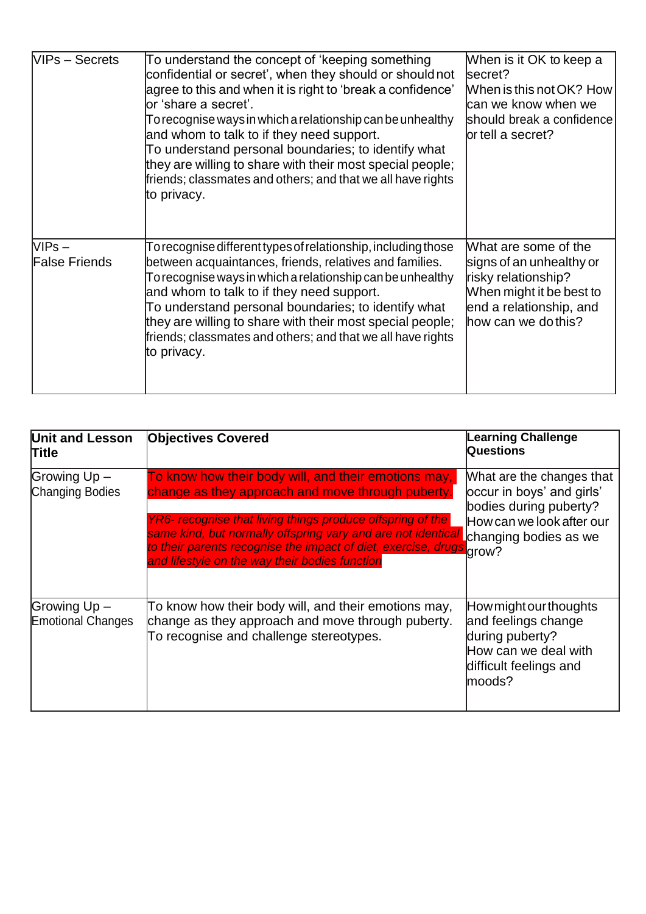| VIPs - Secrets                   | To understand the concept of 'keeping something<br>confidential or secret', when they should or should not<br>agree to this and when it is right to 'break a confidence'<br>lor 'share a secret'.<br>To recognise ways in which a relationship can be unhealthy<br>and whom to talk to if they need support.<br>To understand personal boundaries; to identify what<br>they are willing to share with their most special people;<br>friends; classmates and others; and that we all have rights<br>to privacy. | When is it OK to keep a<br>secret?<br>When is this not OK? How<br>can we know when we<br>should break a confidence<br>or tell a secret?               |
|----------------------------------|----------------------------------------------------------------------------------------------------------------------------------------------------------------------------------------------------------------------------------------------------------------------------------------------------------------------------------------------------------------------------------------------------------------------------------------------------------------------------------------------------------------|-------------------------------------------------------------------------------------------------------------------------------------------------------|
| $NIPS -$<br><b>False Friends</b> | To recognise different types of relationship, including those<br>between acquaintances, friends, relatives and families.<br>To recognise ways in which a relationship can be unhealthy<br>and whom to talk to if they need support.<br>To understand personal boundaries; to identify what<br>they are willing to share with their most special people;<br>friends; classmates and others; and that we all have rights<br>to privacy.                                                                          | What are some of the<br>signs of an unhealthy or<br>risky relationship?<br>When might it be best to<br>end a relationship, and<br>how can we do this? |

| <b>Unit and Lesson</b><br>Title          | <b>Objectives Covered</b>                                                                                                                                                                                                                                                                                                                                         | <b>Learning Challenge</b><br><b>Questions</b>                                                                                           |
|------------------------------------------|-------------------------------------------------------------------------------------------------------------------------------------------------------------------------------------------------------------------------------------------------------------------------------------------------------------------------------------------------------------------|-----------------------------------------------------------------------------------------------------------------------------------------|
| Growing Up -<br>Changing Bodies          | To know how their body will, and their emotions may,<br>change as they approach and move through puberty.<br>YR6- recognise that living things produce offspring of the<br>same kind, but normally offspring vary and are not identical<br>to their parents recognise the impact of diet, exercise, drugs grow?<br>and lifestyle on the way their bodies function | What are the changes that<br>occur in boys' and girls'<br>bodies during puberty?<br>How can we look after our<br>Lchanging bodies as we |
| Growing Up -<br><b>Emotional Changes</b> | To know how their body will, and their emotions may,<br>change as they approach and move through puberty.<br>To recognise and challenge stereotypes.                                                                                                                                                                                                              | How might our thoughts<br>and feelings change<br>during puberty?<br>How can we deal with<br>difficult feelings and<br>moods?            |